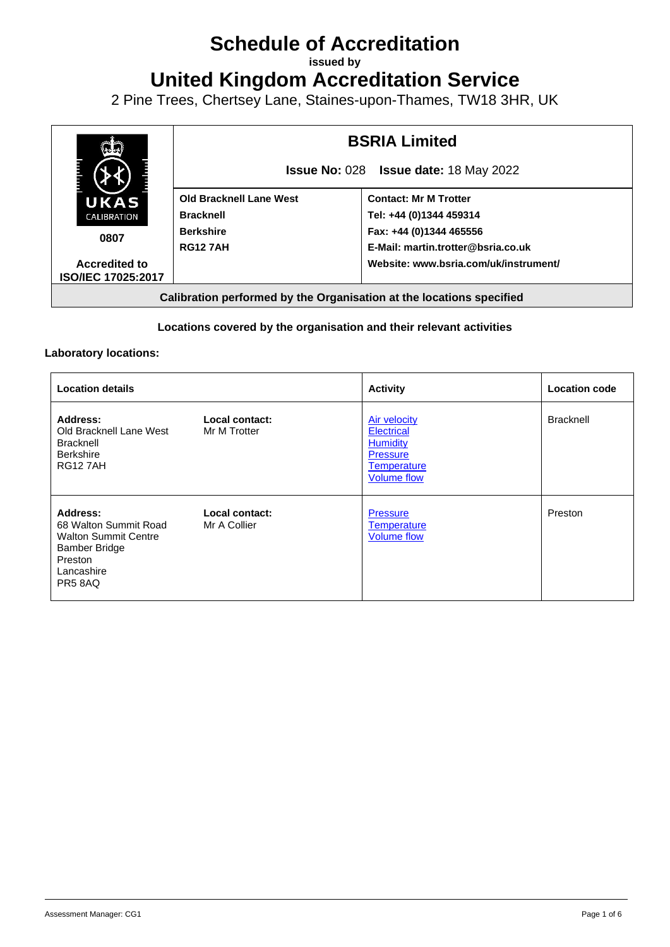# **Schedule of Accreditation**

**issued by**

**United Kingdom Accreditation Service**

2 Pine Trees, Chertsey Lane, Staines-upon-Thames, TW18 3HR, UK



## **Locations covered by the organisation and their relevant activities**

### **Laboratory locations:**

| <b>Location details</b>                                                                                                             |                                | <b>Activity</b>                                                                                                            | <b>Location code</b> |
|-------------------------------------------------------------------------------------------------------------------------------------|--------------------------------|----------------------------------------------------------------------------------------------------------------------------|----------------------|
| Address:<br>Old Bracknell Lane West<br><b>Bracknell</b><br><b>Berkshire</b><br><b>RG127AH</b>                                       | Local contact:<br>Mr M Trotter | <b>Air velocity</b><br><b>Electrical</b><br><b>Humidity</b><br><b>Pressure</b><br><b>Temperature</b><br><b>Volume flow</b> | <b>Bracknell</b>     |
| Address:<br>68 Walton Summit Road<br><b>Walton Summit Centre</b><br><b>Bamber Bridge</b><br>Preston<br>Lancashire<br><b>PR5 8AQ</b> | Local contact:<br>Mr A Collier | <b>Pressure</b><br><b>Temperature</b><br><b>Volume flow</b>                                                                | Preston              |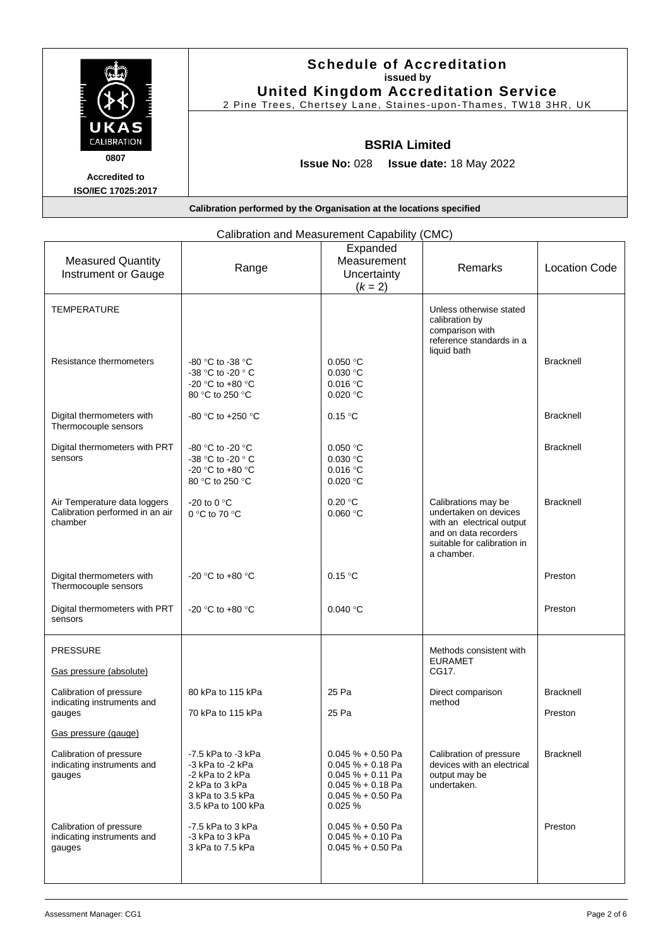|                              | <b>Schedule of Accreditation</b><br>issued by<br><b>United Kingdom Accreditation Service</b><br>2 Pine Trees, Chertsey Lane, Staines-upon-Thames, TW18 3HR, UK |
|------------------------------|----------------------------------------------------------------------------------------------------------------------------------------------------------------|
| UKAS<br><b>CALIBRATION</b>   | <b>BSRIA Limited</b>                                                                                                                                           |
| 0807<br><b>Accredited to</b> | <b>Issue No: <math>028</math></b><br><b>Issue date: 18 May 2022</b>                                                                                            |
| <b>ISO/IEC 17025:2017</b>    | Calibration performed by the Organisation at the locations specified                                                                                           |

<span id="page-1-2"></span><span id="page-1-1"></span><span id="page-1-0"></span>

|                                                                            | Calibration and Measurement Capability (                                                                              |                                                                                                                           | טועוט,                                                                                                                                          |                      |
|----------------------------------------------------------------------------|-----------------------------------------------------------------------------------------------------------------------|---------------------------------------------------------------------------------------------------------------------------|-------------------------------------------------------------------------------------------------------------------------------------------------|----------------------|
| <b>Measured Quantity</b><br>Instrument or Gauge                            | Range                                                                                                                 | Expanded<br>Measurement<br>Uncertainty<br>$(k = 2)$                                                                       | Remarks                                                                                                                                         | <b>Location Code</b> |
| <b>TEMPERATURE</b>                                                         |                                                                                                                       |                                                                                                                           | Unless otherwise stated<br>calibration by<br>comparison with<br>reference standards in a<br>liquid bath                                         |                      |
| Resistance thermometers                                                    | -80 °C to -38 °C<br>-38 °C to -20 ° C<br>-20 °C to +80 °C<br>80 °C to 250 °C                                          | 0.050 °C<br>0.030 °C<br>0.016 °C<br>0.020 °C                                                                              |                                                                                                                                                 | <b>Bracknell</b>     |
| Digital thermometers with<br>Thermocouple sensors                          | -80 °C to +250 °C                                                                                                     | 0.15 °C                                                                                                                   |                                                                                                                                                 | <b>Bracknell</b>     |
| Digital thermometers with PRT<br>sensors                                   | -80 °C to -20 °C<br>-38 °C to -20 ° C<br>-20 °C to +80 °C<br>80 °C to 250 °C                                          | 0.050 °C<br>$0.030$ °C<br>0.016 °C<br>0.020 °C                                                                            |                                                                                                                                                 | <b>Bracknell</b>     |
| Air Temperature data loggers<br>Calibration performed in an air<br>chamber | -20 to 0 $\degree$ C<br>0 °C to 70 °C                                                                                 | 0.20 °C<br>0.060 °C                                                                                                       | Calibrations may be<br>undertaken on devices<br>with an electrical output<br>and on data recorders<br>suitable for calibration in<br>a chamber. | <b>Bracknell</b>     |
| Digital thermometers with<br>Thermocouple sensors                          | -20 °C to +80 °C                                                                                                      | 0.15 °C                                                                                                                   |                                                                                                                                                 | Preston              |
| Digital thermometers with PRT<br>sensors                                   | -20 °C to +80 °C                                                                                                      | 0.040 °C                                                                                                                  |                                                                                                                                                 | Preston              |
| <b>PRESSURE</b>                                                            |                                                                                                                       |                                                                                                                           | Methods consistent with<br><b>EURAMET</b>                                                                                                       |                      |
| Gas pressure (absolute)                                                    |                                                                                                                       |                                                                                                                           | CG17.                                                                                                                                           |                      |
| Calibration of pressure<br>indicating instruments and                      | 80 kPa to 115 kPa                                                                                                     | 25 Pa                                                                                                                     | Direct comparison<br>method                                                                                                                     | <b>Bracknell</b>     |
| gauges<br>Gas pressure (gauge)                                             | 70 kPa to 115 kPa                                                                                                     | 25 Pa                                                                                                                     |                                                                                                                                                 | Preston              |
| Calibration of pressure<br>indicating instruments and<br>gauges            | -7.5 kPa to -3 kPa<br>-3 kPa to -2 kPa<br>-2 kPa to 2 kPa<br>2 kPa to 3 kPa<br>3 kPa to 3.5 kPa<br>3.5 kPa to 100 kPa | $0.045 \% + 0.50$ Pa<br>$0.045 \% + 0.18$ Pa<br>$0.045% + 0.11$ Pa<br>$0.045% + 0.18$ Pa<br>$0.045% + 0.50$ Pa<br>0.025 % | Calibration of pressure<br>devices with an electrical<br>output may be<br>undertaken.                                                           | <b>Bracknell</b>     |
| Calibration of pressure<br>indicating instruments and<br>gauges            | -7.5 kPa to 3 kPa<br>-3 kPa to 3 kPa<br>3 kPa to 7.5 kPa                                                              | $0.045 \% + 0.50$ Pa<br>$0.045 \% + 0.10$ Pa<br>$0.045% + 0.50$ Pa                                                        |                                                                                                                                                 | Preston              |

# Calibration and Measurement Capability (CMC)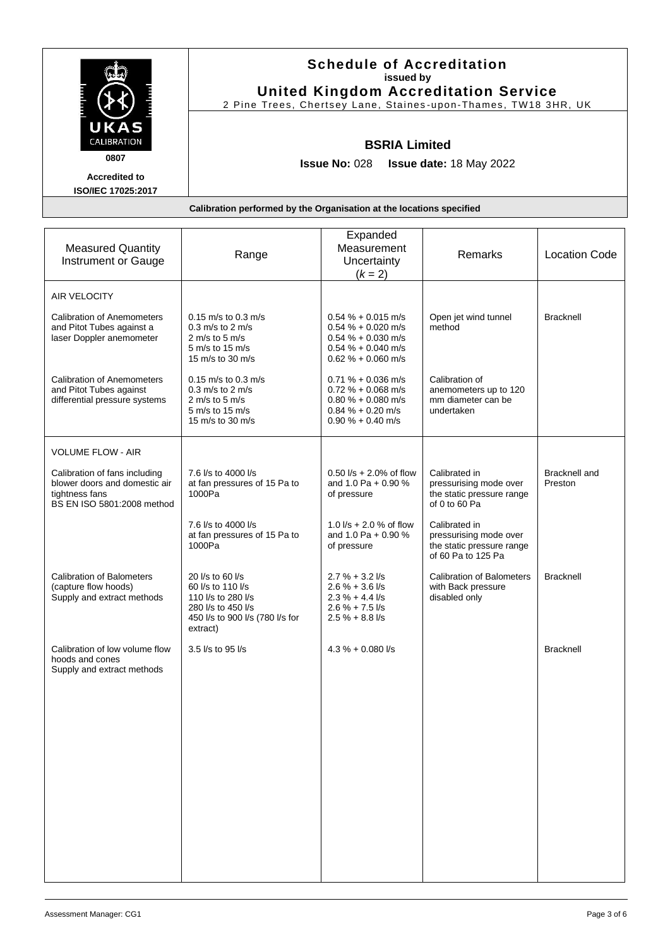|                                                                           | <b>Schedule of Accreditation</b><br>issued by<br><b>United Kingdom Accreditation Service</b><br>2 Pine Trees, Chertsey Lane, Staines-upon-Thames, TW18 3HR, UK |                            |         |                      |
|---------------------------------------------------------------------------|----------------------------------------------------------------------------------------------------------------------------------------------------------------|----------------------------|---------|----------------------|
| UKAS<br>CALIBRATION<br>0807<br><b>Accredited to</b><br>ISO/IEC 17025:2017 | <b>BSRIA Limited</b><br><b>Issue No: 028</b><br><b>Issue date: 18 May 2022</b>                                                                                 |                            |         |                      |
| Calibration performed by the Organisation at the locations specified      |                                                                                                                                                                |                            |         |                      |
|                                                                           |                                                                                                                                                                | Expanded                   |         |                      |
| <b>Measured Quantity</b><br>Instrument or Gauge                           | Range                                                                                                                                                          | Measurement<br>Uncertainty | Remarks | <b>Location Code</b> |

<span id="page-2-1"></span><span id="page-2-0"></span>

| Instrument or Gauge                                                                                            | . .u. .yu                                                                                                                        | Uncertainty<br>$(k = 2)$                                                                                             |                                                                                            |                                 |
|----------------------------------------------------------------------------------------------------------------|----------------------------------------------------------------------------------------------------------------------------------|----------------------------------------------------------------------------------------------------------------------|--------------------------------------------------------------------------------------------|---------------------------------|
| <b>AIR VELOCITY</b><br><b>Calibration of Anemometers</b><br>and Pitot Tubes against a                          | $0.15$ m/s to $0.3$ m/s<br>$0.3$ m/s to 2 m/s                                                                                    | $0.54 \% + 0.015$ m/s<br>$0.54 % + 0.020$ m/s                                                                        | Open jet wind tunnel<br>method                                                             | <b>Bracknell</b>                |
| laser Doppler anemometer<br><b>Calibration of Anemometers</b>                                                  | 2 m/s to 5 m/s<br>5 m/s to 15 m/s<br>15 m/s to 30 m/s<br>$0.15$ m/s to $0.3$ m/s                                                 | $0.54 % + 0.030$ m/s<br>$0.54 % + 0.040$ m/s<br>$0.62 \% + 0.060$ m/s<br>$0.71 \% + 0.036$ m/s                       | Calibration of                                                                             |                                 |
| and Pitot Tubes against<br>differential pressure systems                                                       | $0.3$ m/s to 2 m/s<br>2 m/s to 5 m/s<br>5 m/s to 15 m/s<br>15 m/s to 30 m/s                                                      | $0.72 \% + 0.068$ m/s<br>$0.80 \% + 0.080$ m/s<br>$0.84 \% + 0.20$ m/s<br>$0.90 \% + 0.40$ m/s                       | anemometers up to 120<br>mm diameter can be<br>undertaken                                  |                                 |
| <b>VOLUME FLOW - AIR</b>                                                                                       |                                                                                                                                  |                                                                                                                      |                                                                                            |                                 |
| Calibration of fans including<br>blower doors and domestic air<br>tightness fans<br>BS EN ISO 5801:2008 method | 7.6 l/s to 4000 l/s<br>at fan pressures of 15 Pa to<br>1000Pa                                                                    | $0.50$ $1/s + 2.0\%$ of flow<br>and 1.0 Pa + 0.90 %<br>of pressure                                                   | Calibrated in<br>pressurising mode over<br>the static pressure range<br>of 0 to 60 Pa      | <b>Bracknell</b> and<br>Preston |
|                                                                                                                | 7.6 l/s to 4000 l/s<br>at fan pressures of 15 Pa to<br>1000Pa                                                                    | 1.0 $1/s + 2.0$ % of flow<br>and 1.0 Pa + 0.90 %<br>of pressure                                                      | Calibrated in<br>pressurising mode over<br>the static pressure range<br>of 60 Pa to 125 Pa |                                 |
| <b>Calibration of Balometers</b><br>(capture flow hoods)<br>Supply and extract methods                         | 20 l/s to 60 l/s<br>60 l/s to 110 l/s<br>110 l/s to 280 l/s<br>280 I/s to 450 I/s<br>450 l/s to 900 l/s (780 l/s for<br>extract) | $2.7 \% + 3.2$ I/s<br>$2.6 \% + 3.6$ I/s<br>$2.3 \% + 4.4$ $\frac{1}{s}$<br>$2.6 \% + 7.5$ I/s<br>$2.5 \% + 8.8$ I/s | <b>Calibration of Balometers</b><br>with Back pressure<br>disabled only                    | <b>Bracknell</b>                |
| Calibration of low volume flow<br>hoods and cones<br>Supply and extract methods                                | 3.5 l/s to 95 l/s                                                                                                                | $4.3\% + 0.080$ //s                                                                                                  |                                                                                            | <b>Bracknell</b>                |
|                                                                                                                |                                                                                                                                  |                                                                                                                      |                                                                                            |                                 |
|                                                                                                                |                                                                                                                                  |                                                                                                                      |                                                                                            |                                 |
|                                                                                                                |                                                                                                                                  |                                                                                                                      |                                                                                            |                                 |
|                                                                                                                |                                                                                                                                  |                                                                                                                      |                                                                                            |                                 |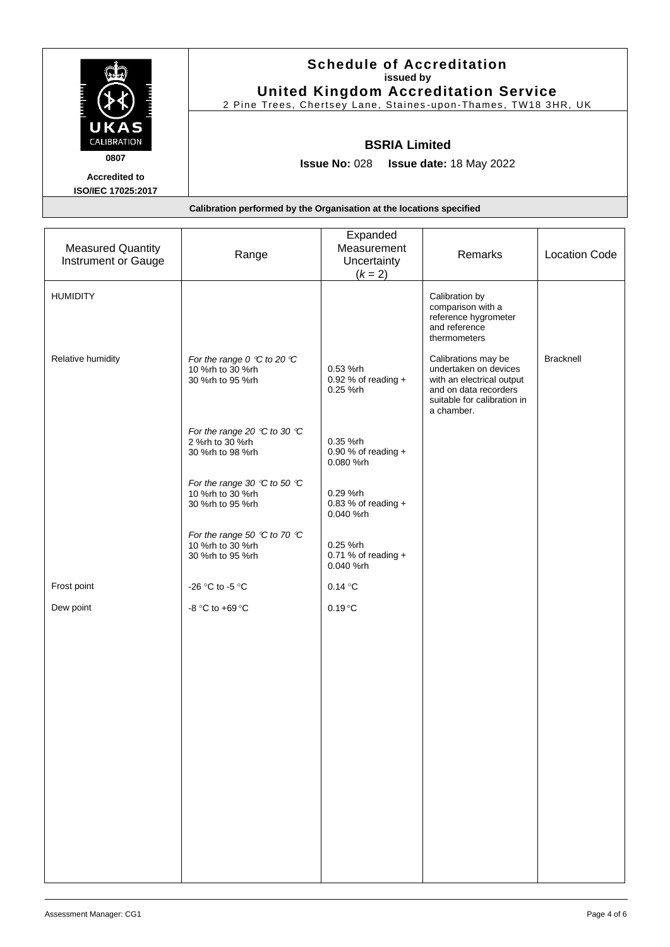|                            | <b>Schedule of Accreditation</b><br>issued by<br><b>United Kingdom Accreditation Service</b><br>2 Pine Trees, Chertsey Lane, Staines-upon-Thames, TW18 3HR, UK |
|----------------------------|----------------------------------------------------------------------------------------------------------------------------------------------------------------|
| UKAS<br><b>CALIBRATION</b> | <b>BSRIA Limited</b>                                                                                                                                           |
| 0807                       | <b>Issue No: 028</b><br><b>Issue date: 18 May 2022</b>                                                                                                         |
| <b>Accredited to</b>       |                                                                                                                                                                |
| <b>ISO/IEC 17025:2017</b>  |                                                                                                                                                                |
|                            | Calibration performed by the Organisation at the locations specified                                                                                           |

<span id="page-3-0"></span>

| <b>Measured Quantity</b><br>Instrument or Gauge | Range                                                                                  | Expanded<br>Measurement<br>Uncertainty<br>$(k = 2)$ | Remarks                                                                                                                                         | <b>Location Code</b> |
|-------------------------------------------------|----------------------------------------------------------------------------------------|-----------------------------------------------------|-------------------------------------------------------------------------------------------------------------------------------------------------|----------------------|
| <b>HUMIDITY</b>                                 |                                                                                        |                                                     | Calibration by<br>comparison with a<br>reference hygrometer<br>and reference<br>thermometers                                                    |                      |
| Relative humidity                               | For the range 0 $\degree$ C to 20 $\degree$ C<br>10 %rh to 30 %rh<br>30 %rh to 95 %rh  | 0.53 %rh<br>0.92 % of reading $+$<br>0.25 %rh       | Calibrations may be<br>undertaken on devices<br>with an electrical output<br>and on data recorders<br>suitable for calibration in<br>a chamber. | Bracknell            |
|                                                 | For the range 20 $\degree$ C to 30 $\degree$ C<br>2 %rh to 30 %rh<br>30 %rh to 98 %rh  | 0.35 %rh<br>0.90 % of reading $+$<br>0.080 %rh      |                                                                                                                                                 |                      |
|                                                 | For the range 30 $\degree$ C to 50 $\degree$ C<br>10 %rh to 30 %rh<br>30 %rh to 95 %rh | 0.29 %rh<br>0.83 % of reading $+$<br>0.040 %rh      |                                                                                                                                                 |                      |
|                                                 | For the range 50 $\degree$ C to 70 $\degree$ C<br>10 %rh to 30 %rh<br>30 %rh to 95 %rh | 0.25 %rh<br>0.71 % of reading $+$<br>0.040 %rh      |                                                                                                                                                 |                      |
| Frost point                                     | -26 °C to -5 °C                                                                        | 0.14 °C                                             |                                                                                                                                                 |                      |
| Dew point                                       | -8 °C to +69 °C                                                                        | $0.19^{\circ}C$                                     |                                                                                                                                                 |                      |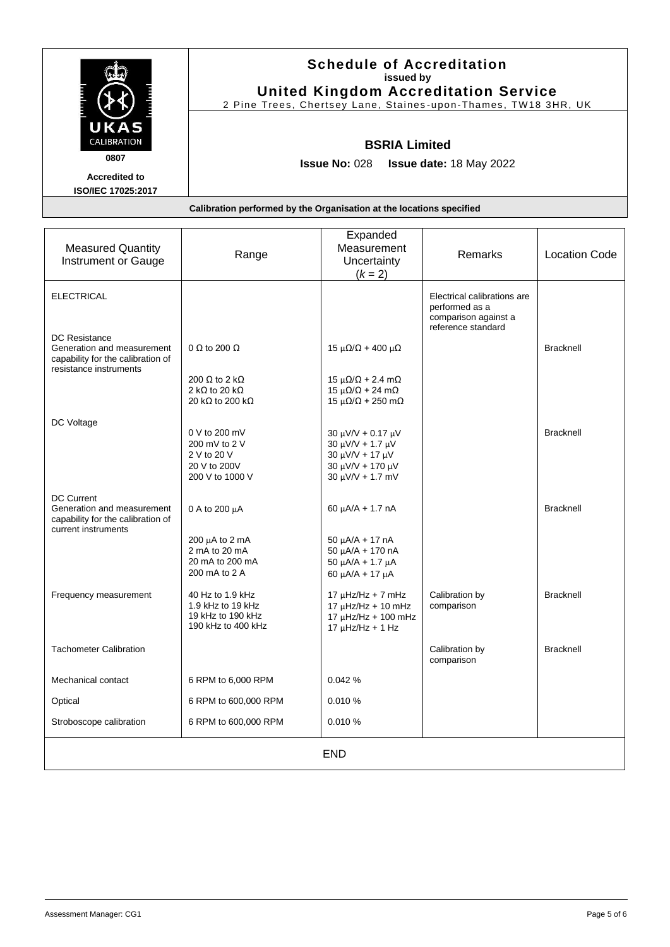|                           | <b>Schedule of Accreditation</b><br>issued by                        |
|---------------------------|----------------------------------------------------------------------|
|                           | <b>United Kingdom Accreditation Service</b>                          |
|                           | 2 Pine Trees, Chertsey Lane, Staines-upon-Thames, TW18 3HR, UK       |
| UKAS                      |                                                                      |
| <b>CALIBRATION</b>        | <b>BSRIA Limited</b>                                                 |
| 0807                      | <b>Issue date: 18 May 2022</b><br><b>Issue No: 028</b>               |
| <b>Accredited to</b>      |                                                                      |
| <b>ISO/IEC 17025:2017</b> |                                                                      |
|                           | Calibration performed by the Organisation at the locations specified |

<span id="page-4-0"></span>

| <b>Measured Quantity</b><br><b>Instrument or Gauge</b>                                                      | Range                                                                             | Expanded<br>Measurement<br>Uncertainty<br>$(k = 2)$                                                                              | Remarks                                                                                     | <b>Location Code</b> |
|-------------------------------------------------------------------------------------------------------------|-----------------------------------------------------------------------------------|----------------------------------------------------------------------------------------------------------------------------------|---------------------------------------------------------------------------------------------|----------------------|
| <b>ELECTRICAL</b>                                                                                           |                                                                                   |                                                                                                                                  | Electrical calibrations are<br>performed as a<br>comparison against a<br>reference standard |                      |
| DC Resistance<br>Generation and measurement<br>capability for the calibration of<br>resistance instruments  | $0 \Omega$ to 200 $\Omega$                                                        | $15 \mu\Omega/\Omega + 400 \mu\Omega$                                                                                            |                                                                                             | <b>Bracknell</b>     |
|                                                                                                             | 200 Ω to 2 kΩ<br>2 k $\Omega$ to 20 k $\Omega$<br>20 k $\Omega$ to 200 k $\Omega$ | $15 \mu\Omega/\Omega$ + 2.4 m $\Omega$<br>$15 \mu\Omega/\Omega$ + 24 m $\Omega$<br>$15 \mu\Omega/\Omega$ + 250 m $\Omega$        |                                                                                             |                      |
| DC Voltage                                                                                                  | 0 V to 200 mV<br>200 mV to 2 V<br>2 V to 20 V<br>20 V to 200V<br>200 V to 1000 V  | $30 \mu V/V + 0.17 \mu V$<br>$30 \mu V/V + 1.7 \mu V$<br>$30 \mu V/V + 17 \mu V$<br>30 µV/V + 170 µV<br>$30 \mu V/V + 1.7 \mu V$ |                                                                                             | <b>Bracknell</b>     |
| <b>DC Current</b><br>Generation and measurement<br>capability for the calibration of<br>current instruments | 0 A to 200 µA                                                                     | $60 \mu A/A + 1.7 \n A$                                                                                                          |                                                                                             | <b>Bracknell</b>     |
|                                                                                                             | $200 \mu A$ to 2 mA<br>2 mA to 20 mA<br>20 mA to 200 mA<br>200 mA to 2 A          | $50 \mu A/A + 17 \n A$<br>$50 \mu A/A + 170 \text{ nA}$<br>$50 \mu A/A + 1.7 \mu A$<br>60 μA/A + 17 μA                           |                                                                                             |                      |
| Frequency measurement                                                                                       | 40 Hz to 1.9 kHz<br>1.9 kHz to 19 kHz<br>19 kHz to 190 kHz<br>190 kHz to 400 kHz  | $17 \mu$ Hz/Hz + 7 mHz<br>$17 \mu$ Hz/Hz + 10 mHz<br>17 µHz/Hz + 100 mHz<br>$17 \mu$ Hz/Hz + 1 Hz                                | Calibration by<br>comparison                                                                | <b>Bracknell</b>     |
| <b>Tachometer Calibration</b>                                                                               |                                                                                   |                                                                                                                                  | Calibration by<br>comparison                                                                | <b>Bracknell</b>     |
| Mechanical contact                                                                                          | 6 RPM to 6,000 RPM                                                                | 0.042%                                                                                                                           |                                                                                             |                      |
| Optical                                                                                                     | 6 RPM to 600,000 RPM                                                              | 0.010%                                                                                                                           |                                                                                             |                      |
| Stroboscope calibration                                                                                     | 6 RPM to 600,000 RPM                                                              | 0.010 %                                                                                                                          |                                                                                             |                      |
|                                                                                                             |                                                                                   | <b>END</b>                                                                                                                       |                                                                                             |                      |